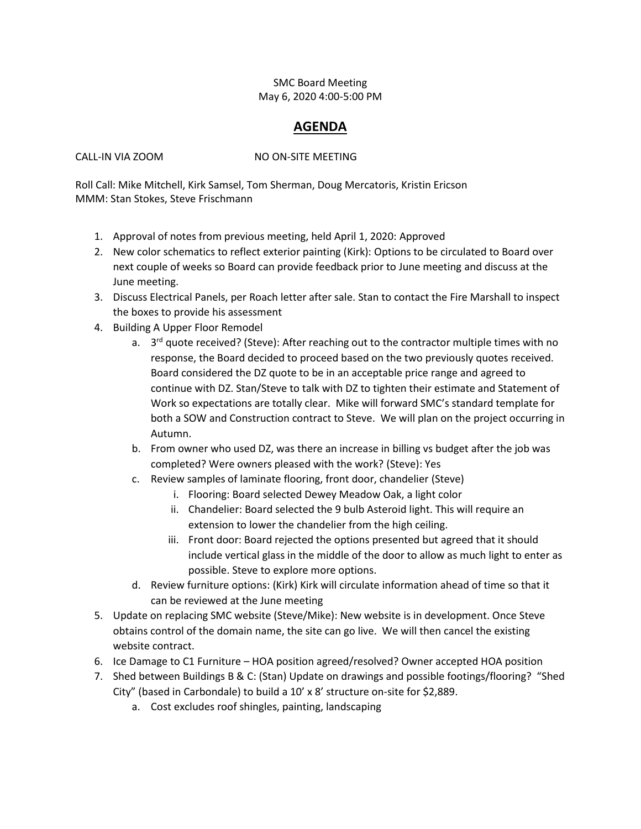## SMC Board Meeting May 6, 2020 4:00-5:00 PM

## **AGENDA**

CALL-IN VIA ZOOM NO ON-SITE MEETING

Roll Call: Mike Mitchell, Kirk Samsel, Tom Sherman, Doug Mercatoris, Kristin Ericson MMM: Stan Stokes, Steve Frischmann

- 1. Approval of notes from previous meeting, held April 1, 2020: Approved
- 2. New color schematics to reflect exterior painting (Kirk): Options to be circulated to Board over next couple of weeks so Board can provide feedback prior to June meeting and discuss at the June meeting.
- 3. Discuss Electrical Panels, per Roach letter after sale. Stan to contact the Fire Marshall to inspect the boxes to provide his assessment
- 4. Building A Upper Floor Remodel
	- a. 3<sup>rd</sup> quote received? (Steve): After reaching out to the contractor multiple times with no response, the Board decided to proceed based on the two previously quotes received. Board considered the DZ quote to be in an acceptable price range and agreed to continue with DZ. Stan/Steve to talk with DZ to tighten their estimate and Statement of Work so expectations are totally clear. Mike will forward SMC's standard template for both a SOW and Construction contract to Steve. We will plan on the project occurring in Autumn.
	- b. From owner who used DZ, was there an increase in billing vs budget after the job was completed? Were owners pleased with the work? (Steve): Yes
	- c. Review samples of laminate flooring, front door, chandelier (Steve)
		- i. Flooring: Board selected Dewey Meadow Oak, a light color
		- ii. Chandelier: Board selected the 9 bulb Asteroid light. This will require an extension to lower the chandelier from the high ceiling.
		- iii. Front door: Board rejected the options presented but agreed that it should include vertical glass in the middle of the door to allow as much light to enter as possible. Steve to explore more options.
	- d. Review furniture options: (Kirk) Kirk will circulate information ahead of time so that it can be reviewed at the June meeting
- 5. Update on replacing SMC website (Steve/Mike): New website is in development. Once Steve obtains control of the domain name, the site can go live. We will then cancel the existing website contract.
- 6. Ice Damage to C1 Furniture HOA position agreed/resolved? Owner accepted HOA position
- 7. Shed between Buildings B & C: (Stan) Update on drawings and possible footings/flooring? "Shed City" (based in Carbondale) to build a 10' x 8' structure on-site for \$2,889.
	- a. Cost excludes roof shingles, painting, landscaping